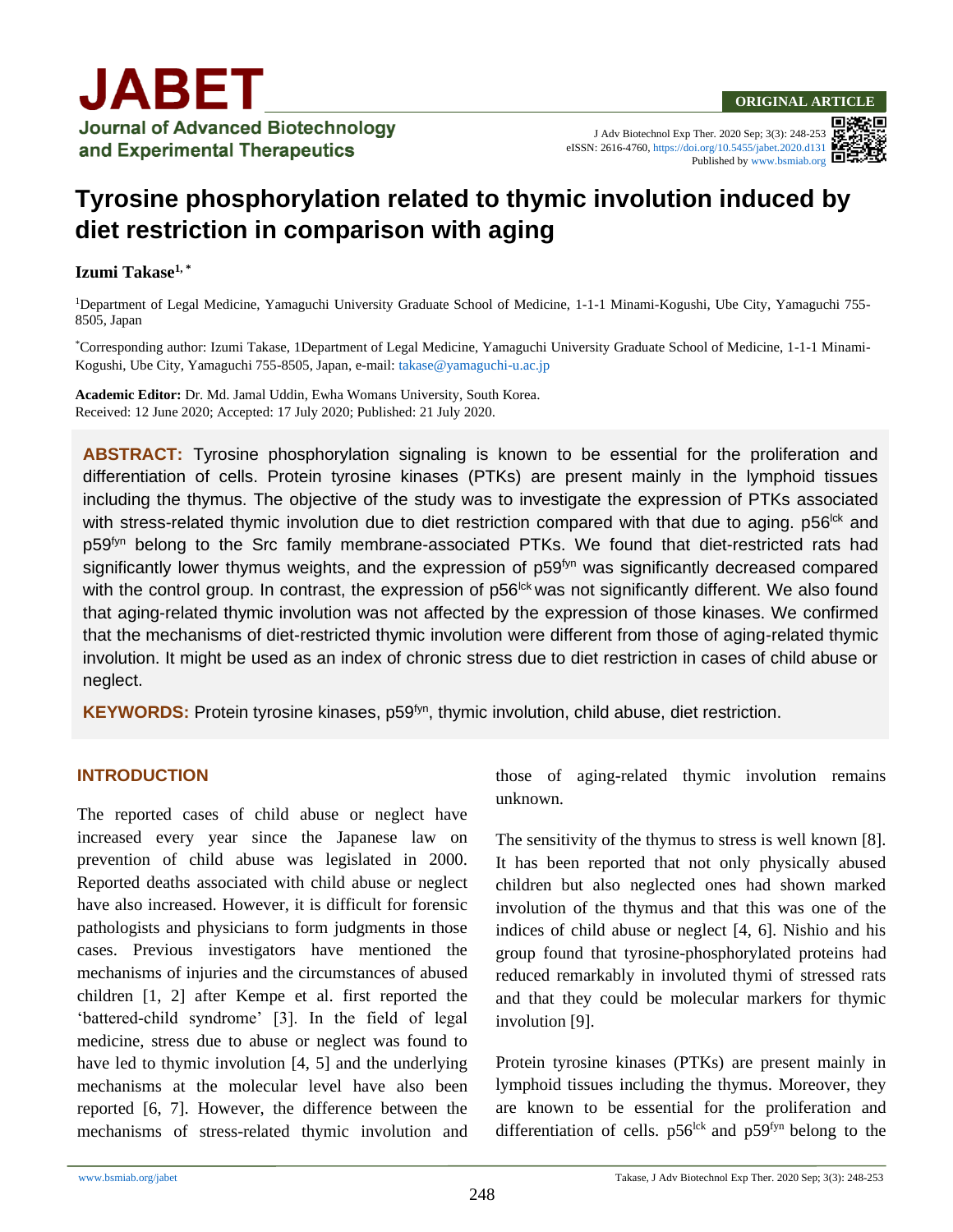J Adv Biotechnol Exp Ther. 2020 Sep; 3(3): 248-253 eISSN: 2616-4760[, https://doi.org/10.5455/jabet.2020.d131](https://doi.org/10.5455/jabet.2020.d131) Published b[y www.bsmiab.org](http://www.bsmiab.org/)

# **Tyrosine phosphorylation related to thymic involution induced by diet restriction in comparison with aging**

#### **Izumi Takase1, \***

<sup>1</sup>Department of Legal Medicine, Yamaguchi University Graduate School of Medicine, 1-1-1 Minami-Kogushi, Ube City, Yamaguchi 755- 8505, Japan

\*Corresponding author: Izumi Takase, 1Department of Legal Medicine, Yamaguchi University Graduate School of Medicine, 1-1-1 Minami-Kogushi, Ube City, Yamaguchi 755-8505, Japan, e-mail: [takase@yamaguchi-u.ac.jp](mailto:takase@yamaguchi-u.ac.jp)

**Academic Editor:** Dr. Md. Jamal Uddin, Ewha Womans University, South Korea. Received: 12 June 2020; Accepted: 17 July 2020; Published: 21 July 2020.

**ABSTRACT:** Tyrosine phosphorylation signaling is known to be essential for the proliferation and differentiation of cells. Protein tyrosine kinases (PTKs) are present mainly in the lymphoid tissues including the thymus. The objective of the study was to investigate the expression of PTKs associated with stress-related thymic involution due to diet restriction compared with that due to aging. p56<sup>Ick</sup> and p59<sup>fyn</sup> belong to the Src family membrane-associated PTKs. We found that diet-restricted rats had significantly lower thymus weights, and the expression of p59<sup>fyn</sup> was significantly decreased compared with the control group. In contrast, the expression of p56<sup>Ick</sup> was not significantly different. We also found that aging-related thymic involution was not affected by the expression of those kinases. We confirmed that the mechanisms of diet-restricted thymic involution were different from those of aging-related thymic involution. It might be used as an index of chronic stress due to diet restriction in cases of child abuse or neglect.

**KEYWORDS:** Protein tyrosine kinases, p59<sup>fyn</sup>, thymic involution, child abuse, diet restriction.

#### **INTRODUCTION**

The reported cases of child abuse or neglect have increased every year since the Japanese law on prevention of child abuse was legislated in 2000. Reported deaths associated with child abuse or neglect have also increased. However, it is difficult for forensic pathologists and physicians to form judgments in those cases. Previous investigators have mentioned the mechanisms of injuries and the circumstances of abused children [1, 2] after Kempe et al. first reported the 'battered-child syndrome' [3]. In the field of legal medicine, stress due to abuse or neglect was found to have led to thymic involution [4, 5] and the underlying mechanisms at the molecular level have also been reported [6, 7]. However, the difference between the mechanisms of stress-related thymic involution and those of aging-related thymic involution remains unknown.

The sensitivity of the thymus to stress is well known [8]. It has been reported that not only physically abused children but also neglected ones had shown marked involution of the thymus and that this was one of the indices of child abuse or neglect [4, 6]. Nishio and his group found that tyrosine-phosphorylated proteins had reduced remarkably in involuted thymi of stressed rats and that they could be molecular markers for thymic involution [9].

Protein tyrosine kinases (PTKs) are present mainly in lymphoid tissues including the thymus. Moreover, they are known to be essential for the proliferation and differentiation of cells.  $p56^{lck}$  and  $p59^{fyn}$  belong to the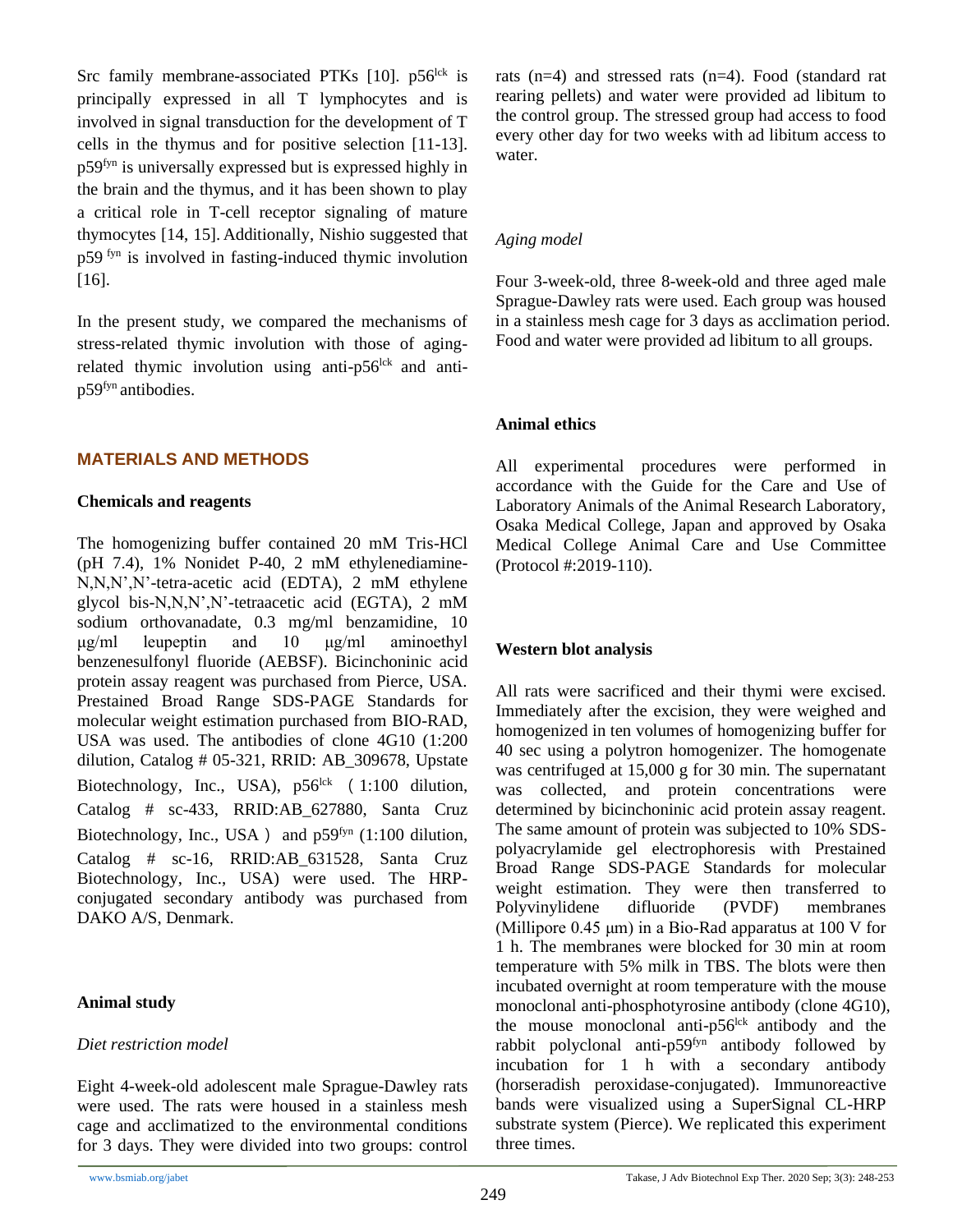Src family membrane-associated PTKs  $[10]$ . p56<sup>lck</sup> is principally expressed in all T lymphocytes and is involved in signal transduction for the development of T cells in the thymus and for positive selection [11-13]. p59fyn is universally expressed but is expressed highly in the brain and the thymus, and it has been shown to play a critical role in T-cell receptor signaling of mature thymocytes [14, 15]. Additionally, Nishio suggested that p59 fyn is involved in fasting-induced thymic involution [16].

In the present study, we compared the mechanisms of stress-related thymic involution with those of agingrelated thymic involution using anti- $p56$ <sup>lck</sup> and antip59fyn antibodies.

## **MATERIALS AND METHODS**

#### **Chemicals and reagents**

The homogenizing buffer contained 20 mM Tris-HCl (pH 7.4), 1% Nonidet P-40, 2 mM ethylenediamine-N,N,N',N'-tetra-acetic acid (EDTA), 2 mM ethylene glycol bis-N,N,N',N'-tetraacetic acid (EGTA), 2 mM sodium orthovanadate, 0.3 mg/ml benzamidine, 10 μg/ml leupeptin and 10 μg/ml aminoethyl benzenesulfonyl fluoride (AEBSF). Bicinchoninic acid protein assay reagent was purchased from Pierce, USA. Prestained Broad Range SDS-PAGE Standards for molecular weight estimation purchased from BIO-RAD, USA was used. The antibodies of clone 4G10 (1:200 dilution, Catalog # 05-321, RRID: AB\_309678, Upstate Biotechnology, Inc., USA),  $p56^{lck}$  (1:100 dilution, Catalog # sc-433, RRID:AB\_627880, Santa Cruz Biotechnology, Inc., USA ) and  $p59<sup>fyn</sup>$  (1:100 dilution, Catalog # sc-16, RRID:AB 631528, Santa Cruz Biotechnology, Inc., USA) were used. The HRPconjugated secondary antibody was purchased from DAKO A/S, Denmark.

#### **Animal study**

## *Diet restriction model*

Eight 4-week-old adolescent male Sprague-Dawley rats were used. The rats were housed in a stainless mesh cage and acclimatized to the environmental conditions for 3 days. They were divided into two groups: control rats (n=4) and stressed rats (n=4). Food (standard rat rearing pellets) and water were provided ad libitum to the control group. The stressed group had access to food every other day for two weeks with ad libitum access to water.

### *Aging model*

Four 3-week-old, three 8-week-old and three aged male Sprague-Dawley rats were used. Each group was housed in a stainless mesh cage for 3 days as acclimation period. Food and water were provided ad libitum to all groups.

## **Animal ethics**

All experimental procedures were performed in accordance with the Guide for the Care and Use of Laboratory Animals of the Animal Research Laboratory, Osaka Medical College, Japan and approved by Osaka Medical College Animal Care and Use Committee (Protocol #:2019-110).

# **Western blot analysis**

All rats were sacrificed and their thymi were excised. Immediately after the excision, they were weighed and homogenized in ten volumes of homogenizing buffer for 40 sec using a polytron homogenizer. The homogenate was centrifuged at 15,000 g for 30 min. The supernatant was collected, and protein concentrations were determined by bicinchoninic acid protein assay reagent. The same amount of protein was subjected to 10% SDSpolyacrylamide gel electrophoresis with Prestained Broad Range SDS-PAGE Standards for molecular weight estimation. They were then transferred to Polyvinylidene difluoride (PVDF) membranes (Millipore 0.45 μm) in a Bio-Rad apparatus at 100 V for 1 h. The membranes were blocked for 30 min at room temperature with 5% milk in TBS. The blots were then incubated overnight at room temperature with the mouse monoclonal anti-phosphotyrosine antibody (clone 4G10), the mouse monoclonal anti- $p56$ <sup>lck</sup> antibody and the rabbit polyclonal anti- $p59<sup>fyn</sup>$  antibody followed by incubation for 1 h with a secondary antibody (horseradish peroxidase-conjugated). Immunoreactive bands were visualized using a SuperSignal CL-HRP substrate system (Pierce). We replicated this experiment three times.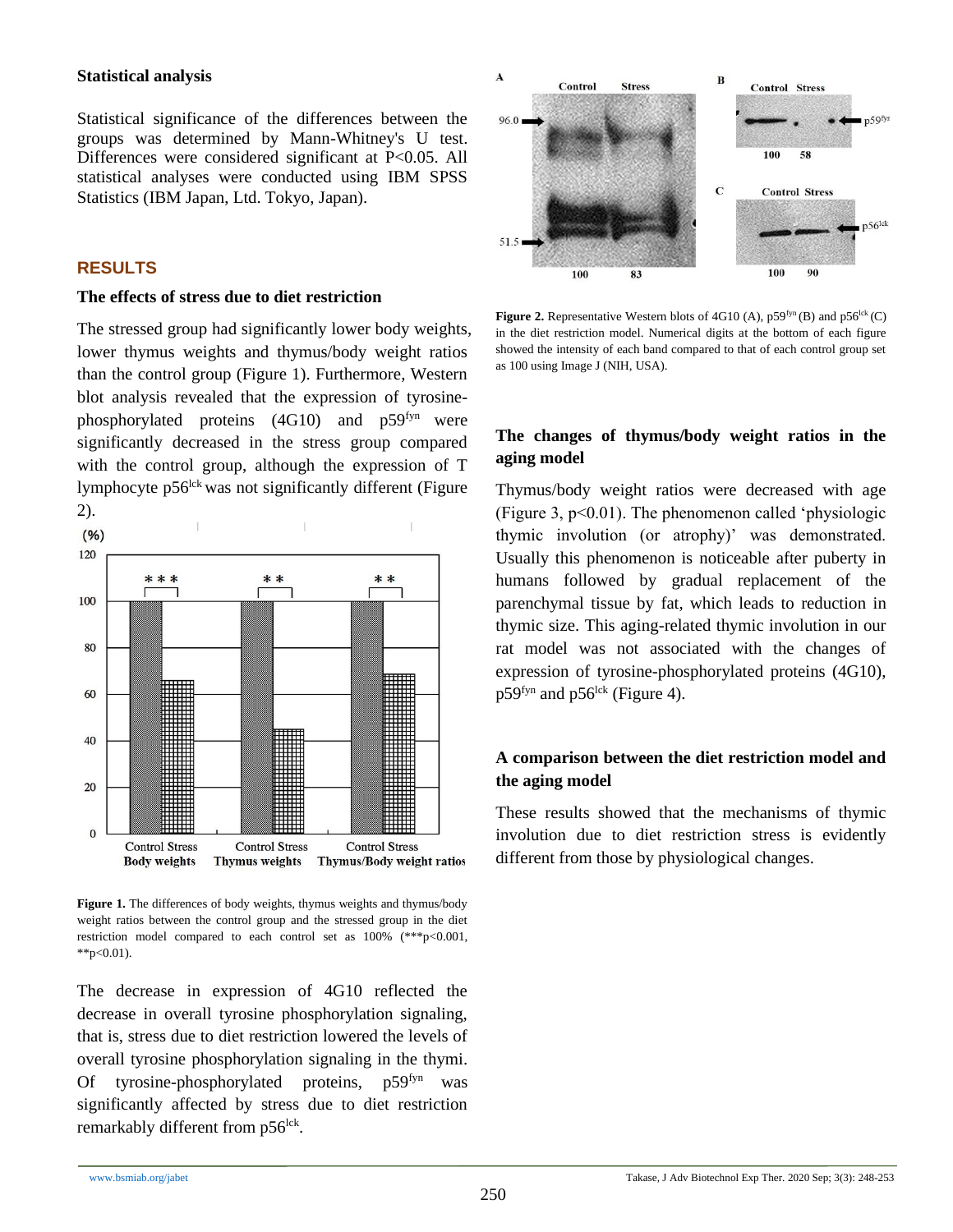#### **Statistical analysis**

Statistical significance of the differences between the groups was determined by Mann-Whitney's U test. Differences were considered significant at P<0.05. All statistical analyses were conducted using IBM SPSS Statistics (IBM Japan, Ltd. Tokyo, Japan).

#### **RESULTS**

#### **The effects of stress due to diet restriction**

The stressed group had significantly lower body weights, lower thymus weights and thymus/body weight ratios than the control group (Figure 1). Furthermore, Western blot analysis revealed that the expression of tyrosinephosphorylated proteins (4G10) and p59fyn were significantly decreased in the stress group compared with the control group, although the expression of T lymphocyte p56<sup>lck</sup> was not significantly different (Figure 2).



**Figure 1.** The differences of body weights, thymus weights and thymus/body weight ratios between the control group and the stressed group in the diet restriction model compared to each control set as 100% (\*\*\*p<0.001,  $*$  $p<0.01$ ).

The decrease in expression of 4G10 reflected the decrease in overall tyrosine phosphorylation signaling, that is, stress due to diet restriction lowered the levels of overall tyrosine phosphorylation signaling in the thymi. Of tyrosine-phosphorylated proteins,  $p59<sup>fyn</sup>$  was significantly affected by stress due to diet restriction remarkably different from p56<sup>lck</sup>.



**Figure 2.** Representative Western blots of 4G10 (A),  $p59^{fyn}$  (B) and  $p56^{lck}$  (C) in the diet restriction model. Numerical digits at the bottom of each figure showed the intensity of each band compared to that of each control group set as 100 using Image J (NIH, USA).

## **The changes of thymus/body weight ratios in the aging model**

Thymus/body weight ratios were decreased with age (Figure 3,  $p<0.01$ ). The phenomenon called 'physiologic thymic involution (or atrophy)' was demonstrated. Usually this phenomenon is noticeable after puberty in humans followed by gradual replacement of the parenchymal tissue by fat, which leads to reduction in thymic size. This aging-related thymic involution in our rat model was not associated with the changes of expression of tyrosine-phosphorylated proteins (4G10),  $p59<sup>fyn</sup>$  and  $p56<sup>lck</sup>$  (Figure 4).

# **A comparison between the diet restriction model and the aging model**

These results showed that the mechanisms of thymic involution due to diet restriction stress is evidently different from those by physiological changes.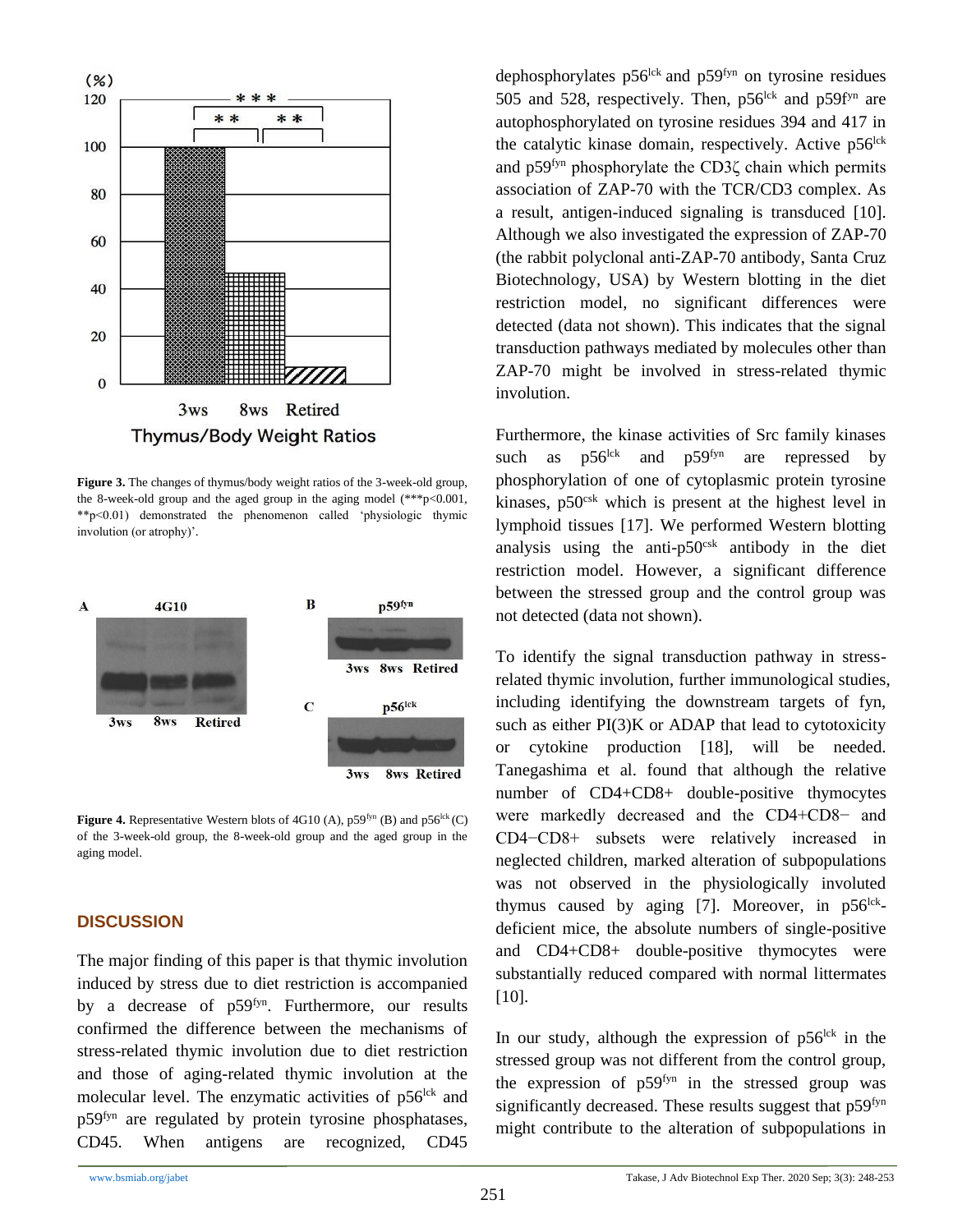

**Figure 3.** The changes of thymus/body weight ratios of the 3-week-old group, the 8-week-old group and the aged group in the aging model  $(***p<0.001$ , \*\*p<0.01) demonstrated the phenomenon called 'physiologic thymic involution (or atrophy)'.



**Figure 4.** Representative Western blots of 4G10 (A),  $p59^{fyn}$  (B) and  $p56^{lck}$  (C) of the 3-week-old group, the 8-week-old group and the aged group in the aging model.

#### **DISCUSSION**

The major finding of this paper is that thymic involution induced by stress due to diet restriction is accompanied by a decrease of p59fyn. Furthermore, our results confirmed the difference between the mechanisms of stress-related thymic involution due to diet restriction and those of aging-related thymic involution at the molecular level. The enzymatic activities of  $p56$ <sup>lck</sup> and p59fyn are regulated by protein tyrosine phosphatases, CD45. When antigens are recognized, CD45

dephosphorylates  $p56^{lck}$  and  $p59^{fyn}$  on tyrosine residues 505 and 528, respectively. Then,  $p56^{lck}$  and  $p59f<sup>yn</sup>$  are autophosphorylated on tyrosine residues 394 and 417 in the catalytic kinase domain, respectively. Active  $p56<sup>lck</sup>$ and p59fyn phosphorylate the CD3ζ chain which permits association of ZAP-70 with the TCR/CD3 complex. As a result, antigen-induced signaling is transduced [10]. Although we also investigated the expression of ZAP-70 (the rabbit polyclonal anti-ZAP-70 antibody, Santa Cruz Biotechnology, USA) by Western blotting in the diet restriction model, no significant differences were detected (data not shown). This indicates that the signal transduction pathways mediated by molecules other than ZAP-70 might be involved in stress-related thymic involution.

Furthermore, the kinase activities of Src family kinases such as  $p56^{lck}$  and  $p59^{fyn}$  are repressed by phosphorylation of one of cytoplasmic protein tyrosine kinases, p50<sup>csk</sup> which is present at the highest level in lymphoid tissues [17]. We performed Western blotting analysis using the anti- $p50<sup>csk</sup>$  antibody in the diet restriction model. However, a significant difference between the stressed group and the control group was not detected (data not shown).

To identify the signal transduction pathway in stressrelated thymic involution, further immunological studies, including identifying the downstream targets of fyn, such as either PI(3)K or ADAP that lead to cytotoxicity or cytokine production [18], will be needed. Tanegashima et al. found that although the relative number of CD4+CD8+ double-positive thymocytes were markedly decreased and the CD4+CD8− and CD4−CD8+ subsets were relatively increased in neglected children, marked alteration of subpopulations was not observed in the physiologically involuted thymus caused by aging [7]. Moreover, in  $p56^{lck}$ deficient mice, the absolute numbers of single-positive and CD4+CD8+ double-positive thymocytes were substantially reduced compared with normal littermates [10].

In our study, although the expression of  $p56<sup>lck</sup>$  in the stressed group was not different from the control group, the expression of  $p59<sup>fyn</sup>$  in the stressed group was significantly decreased. These results suggest that p59<sup>fyn</sup> might contribute to the alteration of subpopulations in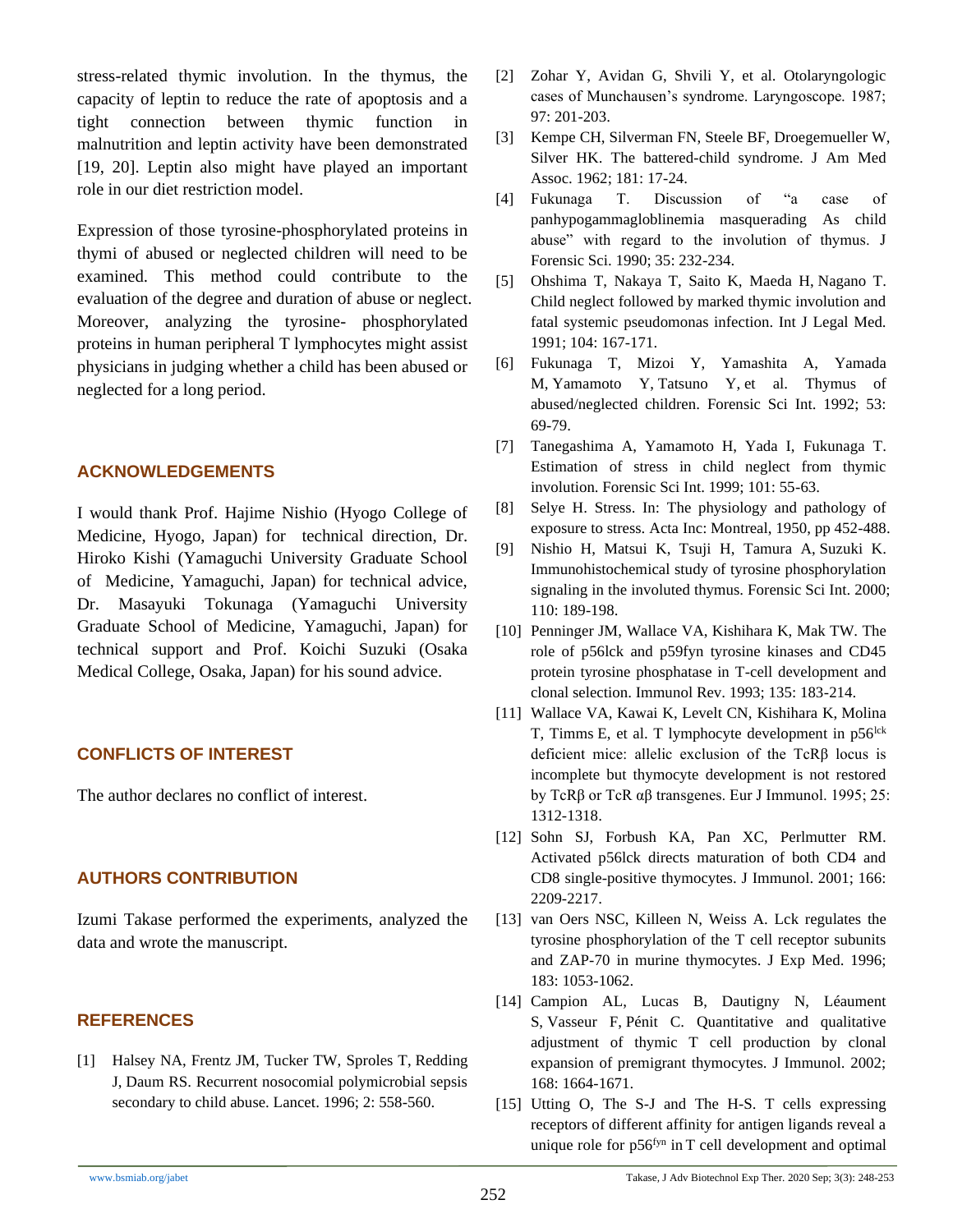stress-related thymic involution. In the thymus, the capacity of leptin to reduce the rate of apoptosis and a tight connection between thymic function in malnutrition and leptin activity have been demonstrated [19, 20]. Leptin also might have played an important role in our diet restriction model.

Expression of those tyrosine-phosphorylated proteins in thymi of abused or neglected children will need to be examined. This method could contribute to the evaluation of the degree and duration of abuse or neglect. Moreover, analyzing the tyrosine- phosphorylated proteins in human peripheral T lymphocytes might assist physicians in judging whether a child has been abused or neglected for a long period.

#### **ACKNOWLEDGEMENTS**

I would thank Prof. Hajime Nishio (Hyogo College of Medicine, Hyogo, Japan) for technical direction, Dr. Hiroko Kishi (Yamaguchi University Graduate School of Medicine, Yamaguchi, Japan) for technical advice, Dr. Masayuki Tokunaga (Yamaguchi University Graduate School of Medicine, Yamaguchi, Japan) for technical support and Prof. Koichi Suzuki (Osaka Medical College, Osaka, Japan) for his sound advice.

## **CONFLICTS OF INTEREST**

The author declares no conflict of interest.

# **AUTHORS CONTRIBUTION**

Izumi Takase performed the experiments, analyzed the data and wrote the manuscript.

## **REFERENCES**

[1] Halsey NA, Frentz JM, Tucker TW, [Sproles](https://pubmed.ncbi.nlm.nih.gov/?term=Sproles+T&cauthor_id=6136704) T, [Redding](https://pubmed.ncbi.nlm.nih.gov/?term=Redding+J&cauthor_id=6136704) J, [Daum](https://pubmed.ncbi.nlm.nih.gov/?term=Daum+RS&cauthor_id=6136704) RS. Recurrent nosocomial polymicrobial sepsis secondary to child abuse. Lancet. 1996; 2: 558-560.

- [2] Zohar Y, Avidan G, Shvili Y, et al. Otolaryngologic cases of Munchausen's syndrome. Laryngoscope. 1987; 97: 201-203.
- [3] Kempe CH, Silverman FN, Steele BF, [Droegemueller W,](https://jamanetwork.com/searchresults?author=William+Droegemueller&q=William+Droegemueller)  [Silver HK.](https://jamanetwork.com/searchresults?author=Henry+K.+Silver&q=Henry+K.+Silver) The battered-child syndrome. J Am Med Assoc. 1962; 181: 17-24.
- [4] Fukunaga T. Discussion of "a case of panhypogammagloblinemia masquerading As child abuse" with regard to the involution of thymus. J Forensic Sci. 1990; 35: 232-234.
- [5] Ohshima T, Nakaya T, Saito K, [Maeda](https://pubmed.ncbi.nlm.nih.gov/?term=Maeda+H&cauthor_id=1911416) H, [Nagano](https://pubmed.ncbi.nlm.nih.gov/?term=Nagano+T&cauthor_id=1911416) T. Child neglect followed by marked thymic involution and fatal systemic pseudomonas infection. Int J Legal Med. 1991; 104: 167-171.
- [6] Fukunaga T, Mizoi Y, Yamashita A, [Yamada](https://pubmed.ncbi.nlm.nih.gov/?term=Yamada+M&cauthor_id=1568682) M, [Yamamoto](https://pubmed.ncbi.nlm.nih.gov/?term=Yamamoto+Y&cauthor_id=1568682) Y, [Tatsuno](https://pubmed.ncbi.nlm.nih.gov/?term=Tatsuno+Y&cauthor_id=1568682) Y, et al. Thymus of abused/neglected children. Forensic Sci Int. 1992; 53: 69-79.
- [7] Tanegashima A, Yamamoto H, Yada I, [Fukunaga](https://pubmed.ncbi.nlm.nih.gov/?term=Fukunaga+T&cauthor_id=10376338) T. Estimation of stress in child neglect from thymic involution. Forensic Sci Int. 1999; 101: 55-63.
- [8] Selye H. Stress. In: The physiology and pathology of exposure to stress. Acta Inc: Montreal, 1950, pp 452-488.
- [9] Nishio H, Matsui K, Tsuji H, [Tamura](https://pubmed.ncbi.nlm.nih.gov/?term=Tamura+A&cauthor_id=10842030) A, [Suzuki](https://pubmed.ncbi.nlm.nih.gov/?term=Suzuki+K&cauthor_id=10842030) K. Immunohistochemical study of tyrosine phosphorylation signaling in the involuted thymus. Forensic Sci Int. 2000; 110: 189-198.
- [10] Penninger JM, Wallace VA, Kishihara K, [Mak](https://pubmed.ncbi.nlm.nih.gov/?term=Mak+TW&cauthor_id=8282313) TW. The role of p56lck and p59fyn tyrosine kinases and CD45 protein tyrosine phosphatase in T-cell development and clonal selection. Immunol Rev. 1993; 135: 183-214.
- [11] Wallace VA, Kawai K, Levelt CN, [Kishihara](https://onlinelibrary.wiley.com/action/doSearch?ContribAuthorStored=Kishihara%2C+Kenji) K, [Molina](https://onlinelibrary.wiley.com/action/doSearch?ContribAuthorStored=Molina%2C+Thierry) T, [Timms](https://onlinelibrary.wiley.com/action/doSearch?ContribAuthorStored=Timms%2C+Emma) E, et al. T lymphocyte development in  $p56$ <sup>lck</sup> deficient mice: allelic exclusion of the TcRβ locus is incomplete but thymocyte development is not restored by TcRβ or TcR αβ transgenes. Eur J Immunol. 1995; 25: 1312-1318.
- [12] Sohn SJ, Forbush KA, Pan XC, [Perlmutter](https://pubmed.ncbi.nlm.nih.gov/?term=Perlmutter+RM&cauthor_id=11160274) RM. Activated p56lck directs maturation of both CD4 and CD8 single-positive thymocytes. J Immunol. 2001; 166: 2209-2217.
- [13] van Oers NSC, Killeen N, Weiss A. Lck regulates the tyrosine phosphorylation of the T cell receptor subunits and ZAP-70 in murine thymocytes. J Exp Med. 1996; 183: 1053-1062.
- [14] Campion AL, Lucas B, Dautigny N, Léaument S, Vasseur F, Pénit C. Quantitative and qualitative adjustment of thymic T cell production by clonal expansion of premigrant thymocytes. J Immunol. 2002; 168: 1664-1671.
- [15] Utting O, The S-J and The H-S. T cells expressing receptors of different affinity for antigen ligands reveal a unique role for p56fyn in T cell development and optimal